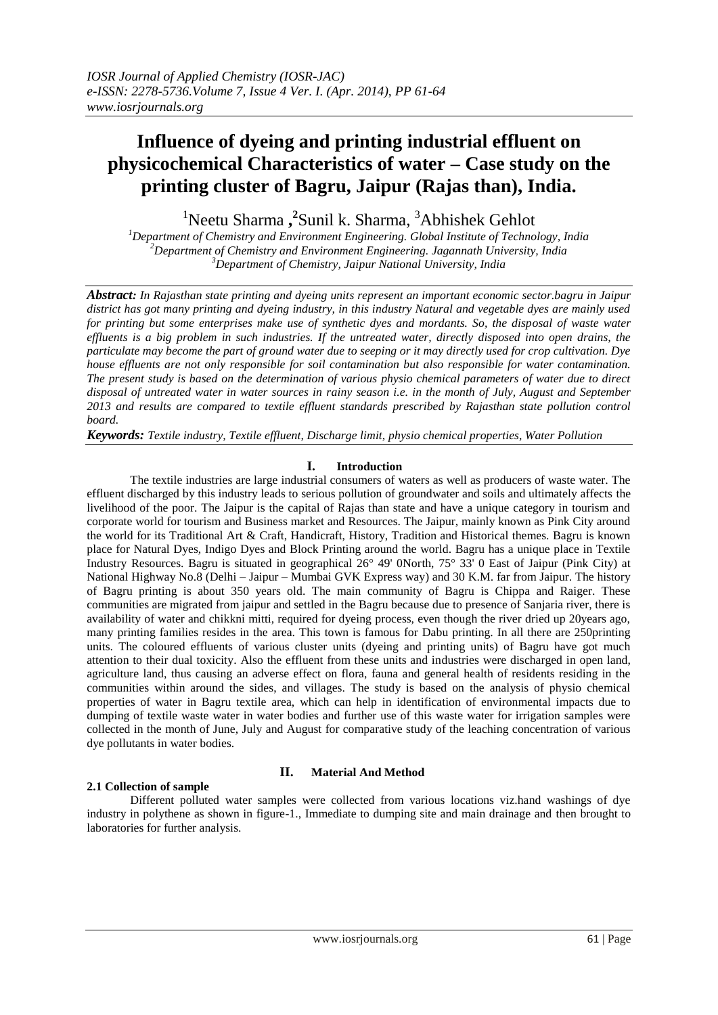# **Influence of dyeing and printing industrial effluent on physicochemical Characteristics of water – Case study on the printing cluster of Bagru, Jaipur (Rajas than), India.**

<sup>1</sup>Neetu Sharma,<sup>2</sup>Sunil k. Sharma,<sup>3</sup>Abhishek Gehlot

*<sup>1</sup>Department of Chemistry and Environment Engineering. Global Institute of Technology, India <sup>2</sup>Department of Chemistry and Environment Engineering. Jagannath University, India <sup>3</sup>Department of Chemistry, Jaipur National University, India*

*Abstract: In Rajasthan state printing and dyeing units represent an important economic sector.bagru in Jaipur district has got many printing and dyeing industry, in this industry Natural and vegetable dyes are mainly used for printing but some enterprises make use of synthetic dyes and mordants. So, the disposal of waste water effluents is a big problem in such industries. If the untreated water, directly disposed into open drains, the particulate may become the part of ground water due to seeping or it may directly used for crop cultivation. Dye house effluents are not only responsible for soil contamination but also responsible for water contamination. The present study is based on the determination of various physio chemical parameters of water due to direct disposal of untreated water in water sources in rainy season i.e. in the month of July, August and September 2013 and results are compared to textile effluent standards prescribed by Rajasthan state pollution control board.*

*Keywords: Textile industry, Textile effluent, Discharge limit, physio chemical properties, Water Pollution*

### **I. Introduction**

The textile industries are large industrial consumers of waters as well as producers of waste water. The effluent discharged by this industry leads to serious pollution of groundwater and soils and ultimately affects the livelihood of the poor. The Jaipur is the capital of Rajas than state and have a unique category in tourism and corporate world for tourism and Business market and Resources. The Jaipur, mainly known as Pink City around the world for its Traditional Art & Craft, Handicraft, History, Tradition and Historical themes. Bagru is known place for Natural Dyes, Indigo Dyes and Block Printing around the world. Bagru has a unique place in Textile Industry Resources. Bagru is situated in geographical 26° 49' 0North, 75° 33' 0 East of Jaipur (Pink City) at National Highway No.8 (Delhi – Jaipur – Mumbai GVK Express way) and 30 K.M. far from Jaipur. The history of Bagru printing is about 350 years old. The main community of Bagru is Chippa and Raiger. These communities are migrated from jaipur and settled in the Bagru because due to presence of Sanjaria river, there is availability of water and chikkni mitti, required for dyeing process, even though the river dried up 20years ago, many printing families resides in the area. This town is famous for Dabu printing. In all there are 250printing units. The coloured effluents of various cluster units (dyeing and printing units) of Bagru have got much attention to their dual toxicity. Also the effluent from these units and industries were discharged in open land, agriculture land, thus causing an adverse effect on flora, fauna and general health of residents residing in the communities within around the sides, and villages. The study is based on the analysis of physio chemical properties of water in Bagru textile area, which can help in identification of environmental impacts due to dumping of textile waste water in water bodies and further use of this waste water for irrigation samples were collected in the month of June, July and August for comparative study of the leaching concentration of various dye pollutants in water bodies.

### **2.1 Collection of sample**

### **II. Material And Method**

Different polluted water samples were collected from various locations viz.hand washings of dye industry in polythene as shown in figure-1., Immediate to dumping site and main drainage and then brought to laboratories for further analysis.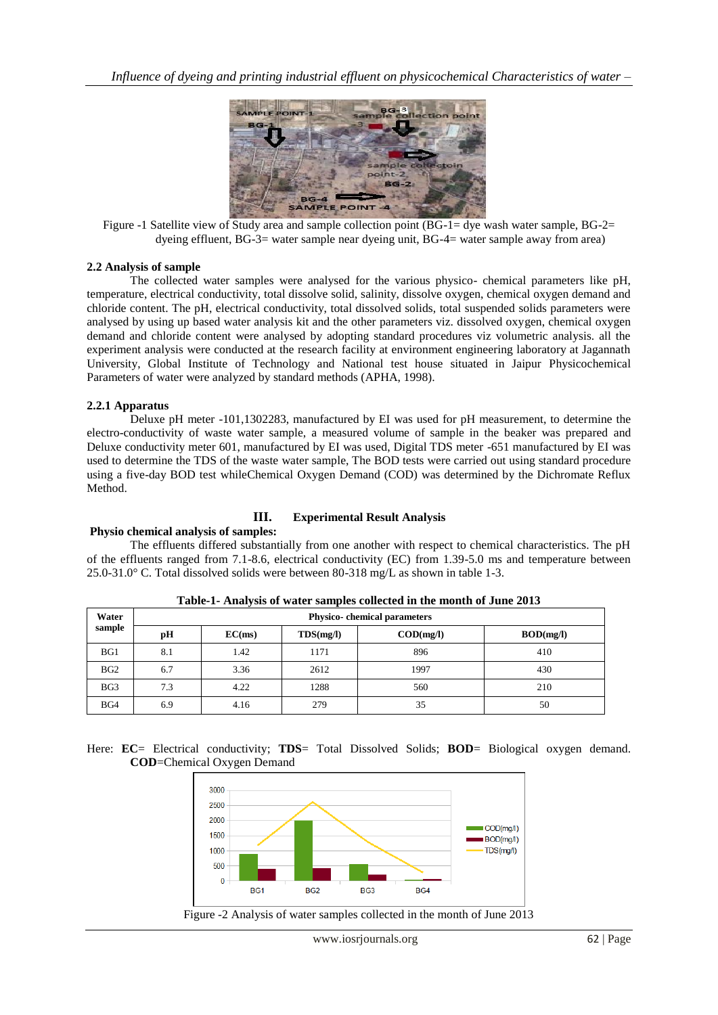

Figure -1 Satellite view of Study area and sample collection point (BG-1= dye wash water sample, BG-2= dyeing effluent, BG-3= water sample near dyeing unit, BG-4= water sample away from area)

### **2.2 Analysis of sample**

The collected water samples were analysed for the various physico- chemical parameters like pH, temperature, electrical conductivity, total dissolve solid, salinity, dissolve oxygen, chemical oxygen demand and chloride content. The pH, electrical conductivity, total dissolved solids, total suspended solids parameters were analysed by using up based water analysis kit and the other parameters viz. dissolved oxygen, chemical oxygen demand and chloride content were analysed by adopting standard procedures viz volumetric analysis. all the experiment analysis were conducted at the research facility at environment engineering laboratory at Jagannath University, Global Institute of Technology and National test house situated in Jaipur Physicochemical Parameters of water were analyzed by standard methods (APHA, 1998).

### **2.2.1 Apparatus**

Deluxe pH meter -101,1302283, manufactured by EI was used for pH measurement, to determine the electro-conductivity of waste water sample, a measured volume of sample in the beaker was prepared and Deluxe conductivity meter 601, manufactured by EI was used, Digital TDS meter -651 manufactured by EI was used to determine the TDS of the waste water sample, The BOD tests were carried out using standard procedure using a five-day BOD test whileChemical Oxygen Demand (COD) was determined by the Dichromate Reflux Method.

## **III. Experimental Result Analysis**

### **Physio chemical analysis of samples:**

### The effluents differed substantially from one another with respect to chemical characteristics. The pH of the effluents ranged from 7.1-8.6, electrical conductivity (EC) from 1.39-5.0 ms and temperature between 25.0-31.0° C. Total dissolved solids were between 80-318 mg/L as shown in table 1-3.

| Water<br>sample | Physico-chemical parameters |        |           |                           |           |  |  |
|-----------------|-----------------------------|--------|-----------|---------------------------|-----------|--|--|
|                 | рH                          | EC(ms) | TDS(mg/l) | $\text{COD}(\text{mg/l})$ | BOD(mg/l) |  |  |
| BG1             | 8.1                         | 1.42   | 1171      | 896                       | 410       |  |  |
| BG <sub>2</sub> | 6.7                         | 3.36   | 2612      | 1997                      | 430       |  |  |
| BG <sub>3</sub> | 7.3                         | 4.22   | 1288      | 560                       | 210       |  |  |
| BG4             | 6.9                         | 4.16   | 279       | 35                        | 50        |  |  |

**Table-1- Analysis of water samples collected in the month of June 2013**

Here: **EC**= Electrical conductivity; **TDS**= Total Dissolved Solids; **BOD**= Biological oxygen demand. **COD**=Chemical Oxygen Demand

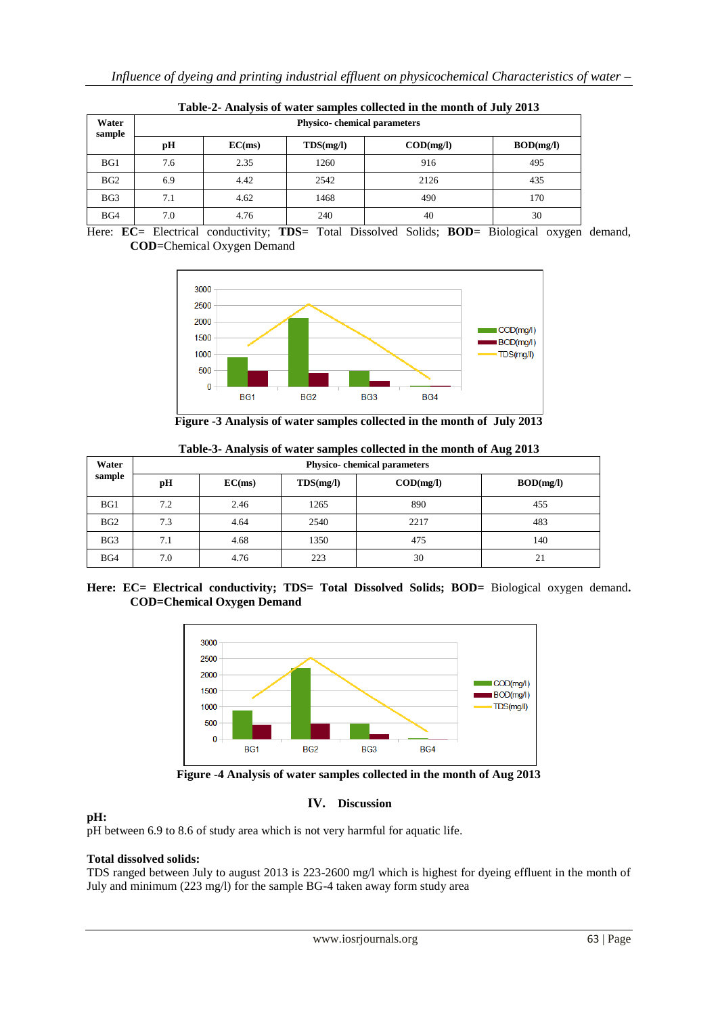| Table-2- Analysis of water samples concetted in the month of July 2013 |                                     |        |           |                                        |           |  |  |  |
|------------------------------------------------------------------------|-------------------------------------|--------|-----------|----------------------------------------|-----------|--|--|--|
| Water<br>sample                                                        | <b>Physico-</b> chemical parameters |        |           |                                        |           |  |  |  |
|                                                                        | pH                                  | EC(ms) | TDS(mg/l) | $\mathbf{COD}(\mathbf{mg}/\mathbf{l})$ | BOD(mg/l) |  |  |  |
| BG1                                                                    | 7.6                                 | 2.35   | 1260      | 916                                    | 495       |  |  |  |
| BG <sub>2</sub>                                                        | 6.9                                 | 4.42   | 2542      | 2126                                   | 435       |  |  |  |
| BG3                                                                    | 7.1                                 | 4.62   | 1468      | 490                                    | 170       |  |  |  |
| BG4                                                                    | 7.0                                 | 4.76   | 240       | 40                                     | 30        |  |  |  |

**Table-2- Analysis of water samples collected in the month of July 2013**

Here: **EC**= Electrical conductivity; **TDS**= Total Dissolved Solids; **BOD**= Biological oxygen demand, **COD**=Chemical Oxygen Demand



**Figure -3 Analysis of water samples collected in the month of July 2013**

| Water<br>sample | Physico-chemical parameters |        |           |                           |           |  |
|-----------------|-----------------------------|--------|-----------|---------------------------|-----------|--|
|                 | pH                          | EC(ms) | TDS(mg/l) | $\text{COD}(\text{mg/l})$ | BOD(mg/l) |  |
| BG1             | 7.2                         | 2.46   | 1265      | 890                       | 455       |  |
| BG <sub>2</sub> | 7.3                         | 4.64   | 2540      | 2217                      | 483       |  |
| BG <sub>3</sub> | 7.1                         | 4.68   | 1350      | 475                       | 140       |  |
| BG4             | 7.0                         | 4.76   | 223       | 30                        | 21        |  |

**Table-3- Analysis of water samples collected in the month of Aug 2013**

**Here: EC= Electrical conductivity; TDS= Total Dissolved Solids; BOD=** Biological oxygen demand**. COD=Chemical Oxygen Demand**



**Figure -4 Analysis of water samples collected in the month of Aug 2013**

### **IV. Discussion**

### **pH:**

pH between 6.9 to 8.6 of study area which is not very harmful for aquatic life.

### **Total dissolved solids:**

TDS ranged between July to august 2013 is 223-2600 mg/l which is highest for dyeing effluent in the month of July and minimum (223 mg/l) for the sample BG-4 taken away form study area